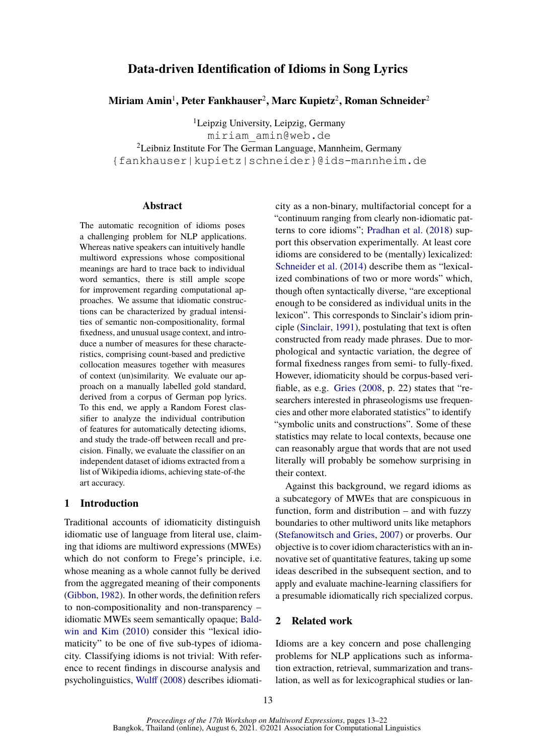# **Data-driven Identification of Idioms in Song Lyrics**

**Miriam Amin**<sup>1</sup> **, Peter Fankhauser**<sup>2</sup> **, Marc Kupietz**<sup>2</sup> **, Roman Schneider**<sup>2</sup>

<sup>1</sup>Leipzig University, Leipzig, Germany miriam\_amin@web.de <sup>2</sup>Leibniz Institute For The German Language, Mannheim, Germany {fankhauser|kupietz|schneider}@ids-mannheim.de

# **Abstract**

The automatic recognition of idioms poses a challenging problem for NLP applications. Whereas native speakers can intuitively handle multiword expressions whose compositional meanings are hard to trace back to individual word semantics, there is still ample scope for improvement regarding computational approaches. We assume that idiomatic constructions can be characterized by gradual intensities of semantic non-compositionality, formal fixedness, and unusual usage context, and introduce a number of measures for these characteristics, comprising count-based and predictive collocation measures together with measures of context (un)similarity. We evaluate our approach on a manually labelled gold standard, derived from a corpus of German pop lyrics. To this end, we apply a Random Forest classifier to analyze the individual contribution of features for automatically detecting idioms, and study the trade-off between recall and precision. Finally, we evaluate the classifier on an independent dataset of idioms extracted from a list of Wikipedia idioms, achieving state-of-the art accuracy.

# **1 Introduction**

Traditional accounts of idiomaticity distinguish idiomatic use of language from literal use, claiming that idioms are multiword expressions (MWEs) which do not conform to Frege's principle, i.e. whose meaning as a whole cannot fully be derived from the aggregated meaning of their components [\(Gibbon,](#page-8-0) [1982\)](#page-8-0). In other words, the definition refers to non-compositionality and non-transparency – idiomatic MWEs seem semantically opaque; [Bald](#page-8-1)[win and Kim](#page-8-1) [\(2010\)](#page-8-1) consider this "lexical idiomaticity" to be one of five sub-types of idiomacity. Classifying idioms is not trivial: With reference to recent findings in discourse analysis and psycholinguistics, [Wulff](#page-9-0) [\(2008\)](#page-9-0) describes idiomati-

city as a non-binary, multifactorial concept for a "continuum ranging from clearly non-idiomatic patterns to core idioms"; [Pradhan et al.](#page-9-1) [\(2018\)](#page-9-1) support this observation experimentally. At least core idioms are considered to be (mentally) lexicalized: [Schneider et al.](#page-9-2) [\(2014\)](#page-9-2) describe them as "lexicalized combinations of two or more words" which, though often syntactically diverse, "are exceptional enough to be considered as individual units in the lexicon". This corresponds to Sinclair's idiom principle [\(Sinclair,](#page-9-3) [1991\)](#page-9-3), postulating that text is often constructed from ready made phrases. Due to morphological and syntactic variation, the degree of formal fixedness ranges from semi- to fully-fixed. However, idiomaticity should be corpus-based verifiable, as e.g. [Gries](#page-8-2) [\(2008,](#page-8-2) p. 22) states that "researchers interested in phraseologisms use frequencies and other more elaborated statistics" to identify "symbolic units and constructions". Some of these statistics may relate to local contexts, because one can reasonably argue that words that are not used literally will probably be somehow surprising in their context.

Against this background, we regard idioms as a subcategory of MWEs that are conspicuous in function, form and distribution – and with fuzzy boundaries to other multiword units like metaphors [\(Stefanowitsch and Gries,](#page-9-4) [2007\)](#page-9-4) or proverbs. Our objective is to cover idiom characteristics with an innovative set of quantitative features, taking up some ideas described in the subsequent section, and to apply and evaluate machine-learning classifiers for a presumable idiomatically rich specialized corpus.

# **2 Related work**

Idioms are a key concern and pose challenging problems for NLP applications such as information extraction, retrieval, summarization and translation, as well as for lexicographical studies or lan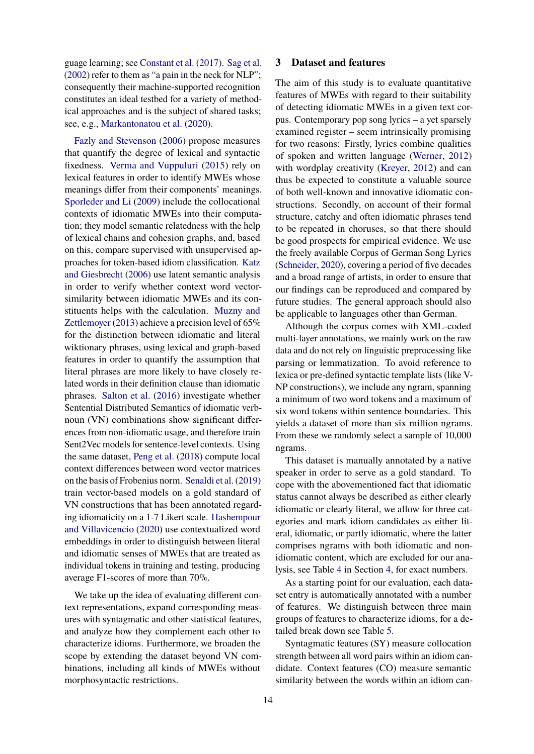guage learning; see [Constant et al.](#page-8-3) [\(2017\)](#page-8-3). [Sag et al.](#page-9-5) [\(2002\)](#page-9-5) refer to them as "a pain in the neck for NLP"; consequently their machine-supported recognition constitutes an ideal testbed for a variety of methodical approaches and is the subject of shared tasks; see, e.g., [Markantonatou et al.](#page-8-4) [\(2020\)](#page-8-4).

[Fazly and Stevenson](#page-8-5) [\(2006\)](#page-8-5) propose measures that quantify the degree of lexical and syntactic fixedness. [Verma and Vuppuluri](#page-9-6) [\(2015\)](#page-9-6) rely on lexical features in order to identify MWEs whose meanings differ from their components' meanings. [Sporleder and Li](#page-9-7) [\(2009\)](#page-9-7) include the collocational contexts of idiomatic MWEs into their computation; they model semantic relatedness with the help of lexical chains and cohesion graphs, and, based on this, compare supervised with unsupervised approaches for token-based idiom classification. [Katz](#page-8-6) [and Giesbrecht](#page-8-6) [\(2006\)](#page-8-6) use latent semantic analysis in order to verify whether context word vectorsimilarity between idiomatic MWEs and its constituents helps with the calculation. [Muzny and](#page-9-8) [Zettlemoyer](#page-9-8) [\(2013\)](#page-9-8) achieve a precision level of 65% for the distinction between idiomatic and literal wiktionary phrases, using lexical and graph-based features in order to quantify the assumption that literal phrases are more likely to have closely related words in their definition clause than idiomatic phrases. [Salton et al.](#page-9-9) [\(2016\)](#page-9-9) investigate whether Sentential Distributed Semantics of idiomatic verbnoun (VN) combinations show significant differences from non-idiomatic usage, and therefore train Sent2Vec models for sentence-level contexts. Using the same dataset, [Peng et al.](#page-9-10) [\(2018\)](#page-9-10) compute local context differences between word vector matrices on the basis of Frobenius norm. [Senaldi et al.](#page-9-11) [\(2019\)](#page-9-11) train vector-based models on a gold standard of VN constructions that has been annotated regarding idiomaticity on a 1-7 Likert scale. [Hashempour](#page-8-7) [and Villavicencio](#page-8-7) [\(2020\)](#page-8-7) use contextualized word embeddings in order to distinguish between literal and idiomatic senses of MWEs that are treated as individual tokens in training and testing, producing average F1-scores of more than 70%.

We take up the idea of evaluating different context representations, expand corresponding measures with syntagmatic and other statistical features, and analyze how they complement each other to characterize idioms. Furthermore, we broaden the scope by extending the dataset beyond VN combinations, including all kinds of MWEs without morphosyntactic restrictions.

#### **3 Dataset and features**

The aim of this study is to evaluate quantitative features of MWEs with regard to their suitability of detecting idiomatic MWEs in a given text corpus. Contemporary pop song lyrics – a yet sparsely examined register – seem intrinsically promising for two reasons: Firstly, lyrics combine qualities of spoken and written language [\(Werner,](#page-9-12) [2012\)](#page-9-12) with wordplay creativity [\(Kreyer,](#page-8-8) [2012\)](#page-8-8) and can thus be expected to constitute a valuable source of both well-known and innovative idiomatic constructions. Secondly, on account of their formal structure, catchy and often idiomatic phrases tend to be repeated in choruses, so that there should be good prospects for empirical evidence. We use the freely available Corpus of German Song Lyrics [\(Schneider,](#page-9-13) [2020\)](#page-9-13), covering a period of five decades and a broad range of artists, in order to ensure that our findings can be reproduced and compared by future studies. The general approach should also be applicable to languages other than German.

Although the corpus comes with XML-coded multi-layer annotations, we mainly work on the raw data and do not rely on linguistic preprocessing like parsing or lemmatization. To avoid reference to lexica or pre-defined syntactic template lists (like V-NP constructions), we include any ngram, spanning a minimum of two word tokens and a maximum of six word tokens within sentence boundaries. This yields a dataset of more than six million ngrams. From these we randomly select a sample of 10,000 ngrams.

This dataset is manually annotated by a native speaker in order to serve as a gold standard. To cope with the abovementioned fact that idiomatic status cannot always be described as either clearly idiomatic or clearly literal, we allow for three categories and mark idiom candidates as either literal, idiomatic, or partly idiomatic, where the latter comprises ngrams with both idiomatic and nonidiomatic content, which are excluded for our analysis, see Table [4](#page-5-0) in Section [4,](#page-3-0) for exact numbers.

As a starting point for our evaluation, each dataset entry is automatically annotated with a number of features. We distinguish between three main groups of features to characterize idioms, for a detailed break down see Table [5.](#page-6-0)

Syntagmatic features (SY) measure collocation strength between all word pairs within an idiom candidate. Context features (CO) measure semantic similarity between the words within an idiom can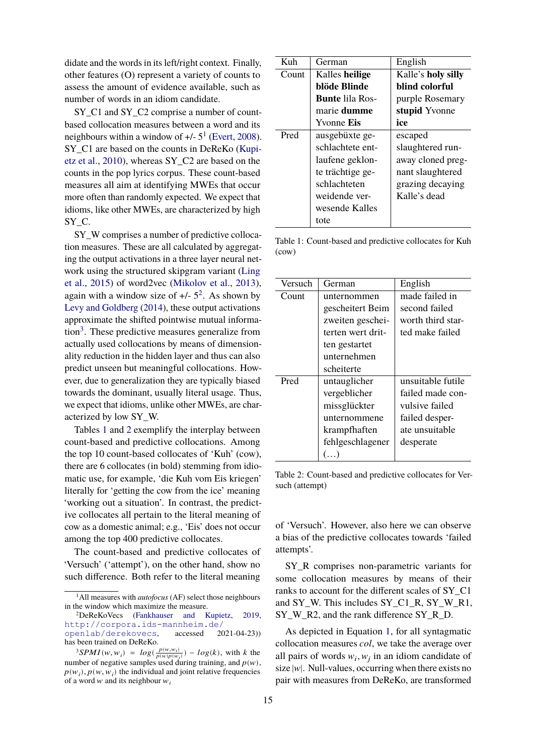didate and the words in its left/right context. Finally, other features (O) represent a variety of counts to assess the amount of evidence available, such as number of words in an idiom candidate.

SY\_C1 and SY\_C2 comprise a number of countbased collocation measures between a word and its neighbours within a window of  $+/- 5<sup>1</sup>$  $+/- 5<sup>1</sup>$  $+/- 5<sup>1</sup>$  [\(Evert,](#page-8-9) [2008\)](#page-8-9). SY C1 are based on the counts in DeReKo [\(Kupi](#page-8-10)[etz et al.,](#page-8-10) [2010\)](#page-8-10), whereas SY\_C2 are based on the counts in the pop lyrics corpus. These count-based measures all aim at identifying MWEs that occur more often than randomly expected. We expect that idioms, like other MWEs, are characterized by high SY<sub>C</sub>.

SY W comprises a number of predictive collocation measures. These are all calculated by aggregating the output activations in a three layer neural network using the structured skipgram variant [\(Ling](#page-8-11) [et al.,](#page-8-11) [2015\)](#page-8-11) of word2vec [\(Mikolov et al.,](#page-9-14) [2013\)](#page-9-14), again with a window size of  $+/- 5<sup>2</sup>$  $+/- 5<sup>2</sup>$  $+/- 5<sup>2</sup>$ . As shown by [Levy and Goldberg](#page-8-12) [\(2014\)](#page-8-12), these output activations approximate the shifted pointwise mutual informa-tion<sup>[3](#page-2-2)</sup>. These predictive measures generalize from actually used collocations by means of dimensionality reduction in the hidden layer and thus can also predict unseen but meaningful collocations. However, due to generalization they are typically biased towards the dominant, usually literal usage. Thus, we expect that idioms, unlike other MWEs, are characterized by low SY\_W.

Tables [1](#page-2-3) and [2](#page-2-4) exemplify the interplay between count-based and predictive collocations. Among the top 10 count-based collocates of 'Kuh' (cow), there are 6 collocates (in bold) stemming from idiomatic use, for example, 'die Kuh vom Eis kriegen' literally for 'getting the cow from the ice' meaning 'working out a situation'. In contrast, the predictive collocates all pertain to the literal meaning of cow as a domestic animal; e.g., 'Eis' does not occur among the top 400 predictive collocates.

The count-based and predictive collocates of 'Versuch' ('attempt'), on the other hand, show no such difference. Both refer to the literal meaning

<span id="page-2-3"></span>

| K <sub>11</sub> h | German                 | English            |
|-------------------|------------------------|--------------------|
| Count             | Kalles heilige         | Kalle's holy silly |
|                   | blöde Blinde           | blind colorful     |
|                   | <b>Bunte lila Ros-</b> | purple Rosemary    |
|                   | marie dumme            | stupid Yvonne      |
|                   | Yvonne Eis             | ice                |
| Pred              | ausgebüxte ge-         | escaped            |
|                   | schlachtete ent-       | slaughtered run-   |
|                   | laufene geklon-        | away cloned preg-  |
|                   | te trächtige ge-       | nant slaughtered   |
|                   | schlachteten           | grazing decaying   |
|                   | weidende ver-          | Kalle's dead       |
|                   | wesende Kalles         |                    |
|                   |                        |                    |
|                   | tote                   |                    |

Table 1: Count-based and predictive collocates for Kuh (cow)

<span id="page-2-4"></span>

| Versuch | German            | English           |
|---------|-------------------|-------------------|
| Count   | unternommen       | made failed in    |
|         | gescheitert Beim  | second failed     |
|         | zweiten geschei-  | worth third star- |
|         | terten wert drit- | ted make failed   |
|         | ten gestartet     |                   |
|         | unternehmen       |                   |
|         | scheiterte        |                   |
| Pred    | untauglicher      | unsuitable futile |
|         | vergeblicher      | failed made con-  |
|         | missglückter      | vulsive failed    |
|         | unternommene      | failed desper-    |
|         | krampfhaften      | ate unsuitable    |
|         | fehlgeschlagener  | desperate         |
|         | $(\ldots)$        |                   |

Table 2: Count-based and predictive collocates for Versuch (attempt)

of 'Versuch'. However, also here we can observe a bias of the predictive collocates towards 'failed attempts'.

SY\_R comprises non-parametric variants for some collocation measures by means of their ranks to account for the different scales of SY\_C1 and SY\_W. This includes SY\_C1\_R, SY\_W\_R1, SY\_W\_R2, and the rank difference SY\_R\_D.

As depicted in Equation [1,](#page-3-1) for all syntagmatic collocation measures *col*, we take the average over all pairs of words  $w_i, w_j$  in an idiom candidate of size  $|w|$ . Null-values, occurring when there exists no pair with measures from DeReKo, are transformed

<span id="page-2-0"></span><sup>1</sup>All measures with *autofocus* (AF) select those neighbours in the window which maximize the measure.

<span id="page-2-1"></span><sup>2</sup>DeReKoVecs [\(Fankhauser and Kupietz,](#page-8-13) [2019,](#page-8-13) [http://corpora.ids-mannheim.de/](http://corpora.ids-mannheim.de/openlab/derekovecs)<br>openlab/derekovecs. accessed 2021-04-23)) [openlab/derekovecs](http://corpora.ids-mannheim.de/openlab/derekovecs), accessed has been trained on DeReKo.

<span id="page-2-2"></span><sup>&</sup>lt;sup>3</sup>SPMI(w, w<sub>i</sub>) =  $log(\frac{p(w,w_i)}{p(w)p(w_i)}) - log(k)$ , with k the number of negative samples used during training, and  $p(w)$ ,  $p(w_i)$ ,  $p(w, w_i)$  the individual and joint relative frequencies of a word  $w$  and its neighbour  $w_i$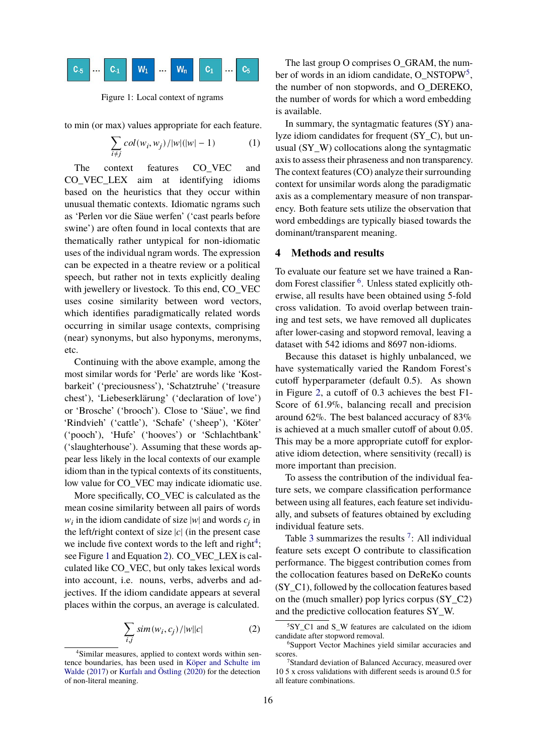<span id="page-3-3"></span>

Figure 1: Local context of ngrams

to min (or max) values appropriate for each feature.

<span id="page-3-1"></span>
$$
\sum_{i \neq j} col(w_i, w_j) / |w|(|w| - 1)
$$
 (1)

The context features CO\_VEC and CO\_VEC\_LEX aim at identifying idioms based on the heuristics that they occur within unusual thematic contexts. Idiomatic ngrams such as 'Perlen vor die Säue werfen' ('cast pearls before swine') are often found in local contexts that are thematically rather untypical for non-idiomatic uses of the individual ngram words. The expression can be expected in a theatre review or a political speech, but rather not in texts explicitly dealing with jewellery or livestock. To this end, CO\_VEC uses cosine similarity between word vectors, which identifies paradigmatically related words occurring in similar usage contexts, comprising (near) synonyms, but also hyponyms, meronyms, etc.

Continuing with the above example, among the most similar words for 'Perle' are words like 'Kostbarkeit' ('preciousness'), 'Schatztruhe' ('treasure chest'), 'Liebeserklärung' ('declaration of love') or 'Brosche' ('brooch'). Close to 'Säue', we find 'Rindvieh' ('cattle'), 'Schafe' ('sheep'), 'Köter' ('pooch'), 'Hufe' ('hooves') or 'Schlachtbank' ('slaughterhouse'). Assuming that these words appear less likely in the local contexts of our example idiom than in the typical contexts of its constituents, low value for CO\_VEC may indicate idiomatic use.

More specifically, CO\_VEC is calculated as the mean cosine similarity between all pairs of words  $w_i$  in the idiom candidate of size |w| and words  $c_j$  in the left/right context of size  $|c|$  (in the present case we include five context words to the left and right<sup>[4](#page-3-2)</sup>; see Figure [1](#page-3-3) and Equation [2\)](#page-3-4). CO\_VEC\_LEX is calculated like CO\_VEC, but only takes lexical words into account, i.e. nouns, verbs, adverbs and adjectives. If the idiom candidate appears at several places within the corpus, an average is calculated.

<span id="page-3-4"></span>
$$
\sum_{i,j} sim(w_i, c_j) / |w||c| \tag{2}
$$

The last group O comprises O\_GRAM, the num-ber of words in an idiom candidate, O\_NSTOPW<sup>[5](#page-3-5)</sup>, the number of non stopwords, and O\_DEREKO, the number of words for which a word embedding is available.

In summary, the syntagmatic features (SY) analyze idiom candidates for frequent (SY\_C), but unusual (SY\_W) collocations along the syntagmatic axis to assess their phraseness and non transparency. The context features (CO) analyze their surrounding context for unsimilar words along the paradigmatic axis as a complementary measure of non transparency. Both feature sets utilize the observation that word embeddings are typically biased towards the dominant/transparent meaning.

## <span id="page-3-0"></span>**4 Methods and results**

To evaluate our feature set we have trained a Ran-dom Forest classifier <sup>[6](#page-3-6)</sup>. Unless stated explicitly otherwise, all results have been obtained using 5-fold cross validation. To avoid overlap between training and test sets, we have removed all duplicates after lower-casing and stopword removal, leaving a dataset with 542 idioms and 8697 non-idioms.

Because this dataset is highly unbalanced, we have systematically varied the Random Forest's cutoff hyperparameter (default 0.5). As shown in Figure [2,](#page-4-0) a cutoff of 0.3 achieves the best F1- Score of 61.9%, balancing recall and precision around 62%. The best balanced accuracy of 83% is achieved at a much smaller cutoff of about 0.05. This may be a more appropriate cutoff for explorative idiom detection, where sensitivity (recall) is more important than precision.

To assess the contribution of the individual feature sets, we compare classification performance between using all features, each feature set individually, and subsets of features obtained by excluding individual feature sets.

Table [3](#page-4-1) summarizes the results  $^7$  $^7$ : All individual feature sets except O contribute to classification performance. The biggest contribution comes from the collocation features based on DeReKo counts (SY\_C1), followed by the collocation features based on the (much smaller) pop lyrics corpus (SY\_C2) and the predictive collocation features SY\_W.

<span id="page-3-2"></span><sup>4</sup>Similar measures, applied to context words within sentence boundaries, has been used in [Köper and Schulte im](#page-8-14) [Walde](#page-8-14) [\(2017\)](#page-8-14) or [Kurfalı and Östling](#page-8-15) [\(2020\)](#page-8-15) for the detection of non-literal meaning.

<span id="page-3-5"></span><sup>5</sup>SY\_C1 and S\_W features are calculated on the idiom candidate after stopword removal.

<span id="page-3-6"></span><sup>6</sup>Support Vector Machines yield similar accuracies and scores.

<span id="page-3-7"></span><sup>7</sup>Standard deviation of Balanced Accuracy, measured over 10 5 x cross validations with different seeds is around 0.5 for all feature combinations.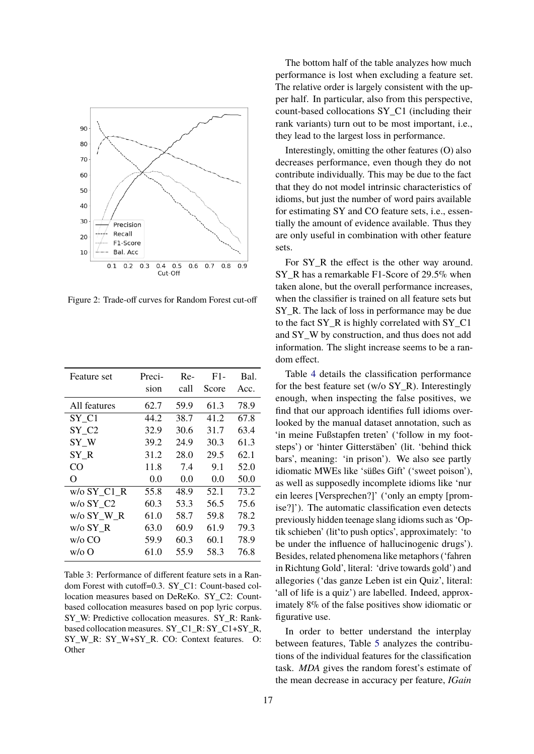<span id="page-4-0"></span>

Figure 2: Trade-off curves for Random Forest cut-off

<span id="page-4-1"></span>

| Feature set   | Preci- | Re-  | $F1-$ | Bal. |
|---------------|--------|------|-------|------|
|               | sion   | call | Score | Acc. |
| All features  | 62.7   | 59.9 | 61.3  | 78.9 |
| SY C1         | 44.2   | 38.7 | 41.2  | 67.8 |
| SY C2         | 32.9   | 30.6 | 31.7  | 63.4 |
| SY W          | 39.2   | 24.9 | 30.3  | 61.3 |
| SY R          | 31.2   | 28.0 | 29.5  | 62.1 |
| CO            | 11.8   | 7.4  | 9.1   | 52.0 |
| O             | 0.0    | 0.0  | 0.0   | 50.0 |
| $w/o$ SY_C1 R | 55.8   | 48.9 | 52.1  | 73.2 |
| w/o SY C2     | 60.3   | 53.3 | 56.5  | 75.6 |
| w/o SY W R    | 61.0   | 58.7 | 59.8  | 78.2 |
| w/o SY R      | 63.0   | 60.9 | 61.9  | 79.3 |
| $w/o$ CO      | 59.9   | 60.3 | 60.1  | 78.9 |
| $w/\sigma$ O  | 61.0   | 55.9 | 58.3  | 76.8 |

Table 3: Performance of different feature sets in a Random Forest with cutoff=0.3. SY\_C1: Count-based collocation measures based on DeReKo. SY\_C2: Countbased collocation measures based on pop lyric corpus. SY\_W: Predictive collocation measures. SY\_R: Rankbased collocation measures. SY\_C1\_R: SY\_C1+SY\_R, SY\_W\_R: SY\_W+SY\_R. CO: Context features. O: **Other** 

The bottom half of the table analyzes how much performance is lost when excluding a feature set. The relative order is largely consistent with the upper half. In particular, also from this perspective, count-based collocations SY\_C1 (including their rank variants) turn out to be most important, i.e., they lead to the largest loss in performance.

Interestingly, omitting the other features (O) also decreases performance, even though they do not contribute individually. This may be due to the fact that they do not model intrinsic characteristics of idioms, but just the number of word pairs available for estimating SY and CO feature sets, i.e., essentially the amount of evidence available. Thus they are only useful in combination with other feature sets.

For SY\_R the effect is the other way around. SY\_R has a remarkable F1-Score of 29.5% when taken alone, but the overall performance increases, when the classifier is trained on all feature sets but SY R. The lack of loss in performance may be due to the fact SY\_R is highly correlated with SY\_C1 and SY\_W by construction, and thus does not add information. The slight increase seems to be a random effect.

Table [4](#page-5-0) details the classification performance for the best feature set (w/o SY\_R). Interestingly enough, when inspecting the false positives, we find that our approach identifies full idioms overlooked by the manual dataset annotation, such as 'in meine Fußstapfen treten' ('follow in my footsteps') or 'hinter Gitterstäben' (lit. 'behind thick bars', meaning: 'in prison'). We also see partly idiomatic MWEs like 'süßes Gift' ('sweet poison'), as well as supposedly incomplete idioms like 'nur ein leeres [Versprechen?]' ('only an empty [promise?]'). The automatic classification even detects previously hidden teenage slang idioms such as 'Optik schieben' (lit'̇to push optics', approximately: 'to be under the influence of hallucinogenic drugs'). Besides, related phenomena like metaphors ('fahren in Richtung Gold', literal: 'drive towards gold') and allegories ('das ganze Leben ist ein Quiz', literal: 'all of life is a quiz') are labelled. Indeed, approximately 8% of the false positives show idiomatic or figurative use.

In order to better understand the interplay between features, Table [5](#page-6-0) analyzes the contributions of the individual features for the classification task. *MDA* gives the random forest's estimate of the mean decrease in accuracy per feature, *IGain*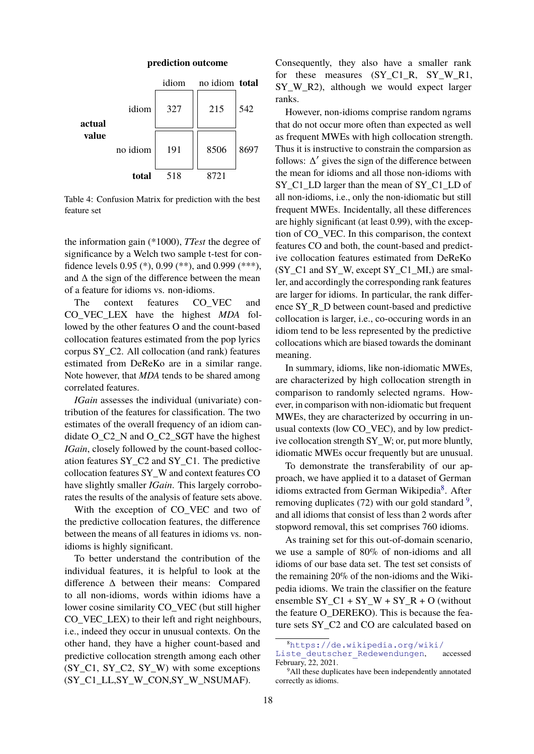<span id="page-5-0"></span>

Table 4: Confusion Matrix for prediction with the best feature set

the information gain (\*1000), *TTest* the degree of significance by a Welch two sample t-test for confidence levels 0.95 (\*), 0.99 (\*\*), and 0.999 (\*\*\*), and  $\Delta$  the sign of the difference between the mean of a feature for idioms vs. non-idioms.

The context features CO\_VEC and CO\_VEC\_LEX have the highest *MDA* followed by the other features O and the count-based collocation features estimated from the pop lyrics corpus SY\_C2. All collocation (and rank) features estimated from DeReKo are in a similar range. Note however, that *MDA* tends to be shared among correlated features.

*IGain* assesses the individual (univariate) contribution of the features for classification. The two estimates of the overall frequency of an idiom candidate O\_C2\_N and O\_C2\_SGT have the highest *IGain*, closely followed by the count-based collocation features SY\_C2 and SY\_C1. The predictive collocation features SY\_W and context features CO have slightly smaller *IGain*. This largely corroborates the results of the analysis of feature sets above.

With the exception of CO\_VEC and two of the predictive collocation features, the difference between the means of all features in idioms vs. nonidioms is highly significant.

To better understand the contribution of the individual features, it is helpful to look at the difference Δ between their means: Compared to all non-idioms, words within idioms have a lower cosine similarity CO\_VEC (but still higher CO VEC LEX) to their left and right neighbours, i.e., indeed they occur in unusual contexts. On the other hand, they have a higher count-based and predictive collocation strength among each other (SY\_C1, SY\_C2, SY\_W) with some exceptions (SY\_C1\_LL,SY\_W\_CON,SY\_W\_NSUMAF).

Consequently, they also have a smaller rank for these measures (SY\_C1\_R, SY\_W\_R1, SY W R2), although we would expect larger ranks.

However, non-idioms comprise random ngrams that do not occur more often than expected as well as frequent MWEs with high collocation strength. Thus it is instructive to constrain the comparsion as follows:  $\Delta'$  gives the sign of the difference between the mean for idioms and all those non-idioms with SY C1 LD larger than the mean of SY C1 LD of all non-idioms, i.e., only the non-idiomatic but still frequent MWEs. Incidentally, all these differences are highly significant (at least 0.99), with the exception of CO\_VEC. In this comparison, the context features CO and both, the count-based and predictive collocation features estimated from DeReKo (SY\_C1 and SY\_W, except SY\_C1\_MI,) are smaller, and accordingly the corresponding rank features are larger for idioms. In particular, the rank difference SY\_R\_D between count-based and predictive collocation is larger, i.e., co-occuring words in an idiom tend to be less represented by the predictive collocations which are biased towards the dominant meaning.

In summary, idioms, like non-idiomatic MWEs, are characterized by high collocation strength in comparison to randomly selected ngrams. However, in comparison with non-idiomatic but frequent MWEs, they are characterized by occurring in unusual contexts (low CO\_VEC), and by low predictive collocation strength SY\_W; or, put more bluntly, idiomatic MWEs occur frequently but are unusual.

To demonstrate the transferability of our approach, we have applied it to a dataset of German idioms extracted from German Wikipedia<sup>[8](#page-5-1)</sup>. After removing duplicates  $(72)$  with our gold standard  $9$ , and all idioms that consist of less than 2 words after stopword removal, this set comprises 760 idioms.

As training set for this out-of-domain scenario, we use a sample of 80% of non-idioms and all idioms of our base data set. The test set consists of the remaining 20% of the non-idioms and the Wikipedia idioms. We train the classifier on the feature ensemble  $SY\_C1 + SY\_W + SY\_R + O$  (without the feature O\_DEREKO). This is because the feature sets SY\_C2 and CO are calculated based on

<span id="page-5-1"></span><sup>8</sup>[https://de.wikipedia.org/wiki/](https://de.wikipedia.org/wiki/Liste_deutscher_Redewendungen)

Liste deutscher Redewendungen, accessed February, 22, 2021.

<span id="page-5-2"></span><sup>&</sup>lt;sup>9</sup>All these duplicates have been independently annotated correctly as idioms.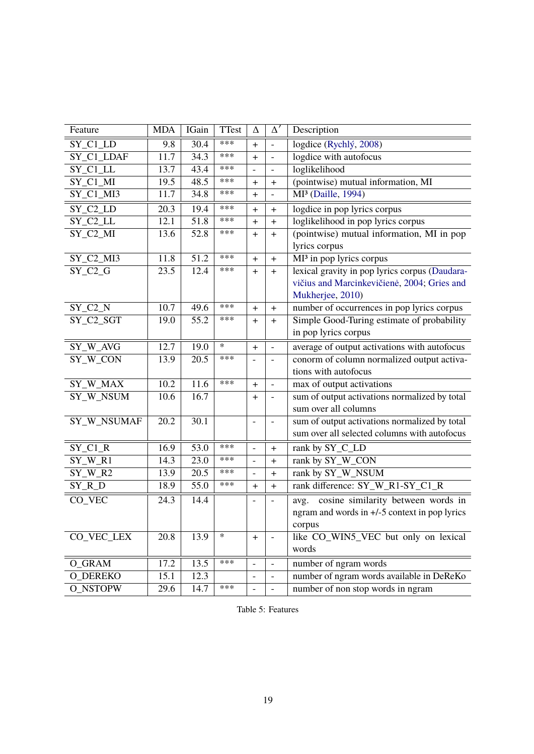<span id="page-6-0"></span>

| Feature                              | <b>MDA</b> | IGain | TTest  | Δ                        | $\Delta'$                        | Description                                                     |
|--------------------------------------|------------|-------|--------|--------------------------|----------------------------------|-----------------------------------------------------------------|
| $SY$ <sub>_C1</sub> _LD              | 9.8        | 30.4  | ***    | $\ddot{}$                | $\overline{\phantom{a}}$         | logdice (Rychlý, 2008)                                          |
| SY_C1_LDAF                           | 11.7       | 34.3  | ***    | $\ddot{}$                | $\qquad \qquad \blacksquare$     | logdice with autofocus                                          |
| SY_C1_LL                             | 13.7       | 43.4  | ***    | $\overline{\phantom{a}}$ | $\blacksquare$                   | loglikelihood                                                   |
| $SY$ <sup><math>Cl</math></sup> $MI$ | 19.5       | 48.5  | ***    | $\ddot{}$                | $\ddot{}$                        | (pointwise) mutual information, MI                              |
| $SY_C1_M13$                          | 11.7       | 34.8  | ***    | $\ddot{}$                | $\overline{\phantom{a}}$         | MI <sup>3</sup> (Daille, 1994)                                  |
| $SY$ <sub>_C2</sub> $LD$             | 20.3       | 19.4  | ***    | $\ddot{}$                | $\ddot{}$                        | logdice in pop lyrics corpus                                    |
| SY_C2_LL                             | 12.1       | 51.8  | ***    | $\ddot{}$                | $\ddot{}$                        | loglikelihood in pop lyrics corpus                              |
| $SY_C2_M$                            | 13.6       | 52.8  | ***    | $\ddot{}$                | $\ddot{}$                        | (pointwise) mutual information, MI in pop                       |
|                                      |            |       |        |                          |                                  | lyrics corpus                                                   |
| $SY_C2_M13$                          | 11.8       | 51.2  | ***    | $\ddot{}$                | $\ddot{}$                        | MI <sup>3</sup> in pop lyrics corpus                            |
| $SY_C2_G$                            | 23.5       | 12.4  | ***    | $\ddot{}$                | $\ddot{}$                        | lexical gravity in pop lyrics corpus (Daudara-                  |
|                                      |            |       |        |                          |                                  | vičius and Marcinkevičienė, 2004; Gries and<br>Mukherjee, 2010) |
| $SY_C2_N$                            | 10.7       | 49.6  | ***    | $\ddot{}$                | $\begin{array}{c} + \end{array}$ | number of occurrences in pop lyrics corpus                      |
| SY_C2_SGT                            | 19.0       | 55.2  | ***    | $\ddot{}$                | $\ddot{}$                        | Simple Good-Turing estimate of probability                      |
|                                      |            |       |        |                          |                                  | in pop lyrics corpus                                            |
| SY_W_AVG                             | 12.7       | 19.0  | $\ast$ | $+$                      | $\blacksquare$                   | average of output activations with autofocus                    |
| SY_W_CON                             | 13.9       | 20.5  | ***    |                          |                                  | conorm of column normalized output activa-                      |
|                                      |            |       |        |                          | $\overline{\phantom{m}}$         | tions with autofocus                                            |
| SY_W_MAX                             | 10.2       | 11.6  | ***    | $+$                      | $\overline{\phantom{a}}$         | max of output activations                                       |
| SY_W_NSUM                            | 10.6       | 16.7  |        | $\ddot{}$                | $\frac{1}{2}$                    | sum of output activations normalized by total                   |
|                                      |            |       |        |                          |                                  | sum over all columns                                            |
| SY_W_NSUMAF                          | 20.2       | 30.1  |        | $\overline{\phantom{m}}$ | $\qquad \qquad \blacksquare$     | sum of output activations normalized by total                   |
|                                      |            |       |        |                          |                                  | sum over all selected columns with autofocus                    |
| $SY_C1_R$                            | 16.9       | 53.0  | ***    | $\overline{a}$           | $\ddot{}$                        | rank by SY_C_LD                                                 |
| $SY_W_R1$                            | 14.3       | 23.0  | ***    | $\frac{1}{2}$            | $\ddot{}$                        | rank by SY_W_CON                                                |
| $SY_W_R2$                            | 13.9       | 20.5  | ***    |                          | $\ddot{}$                        | rank by SY_W_NSUM                                               |
| SY_R_D                               | 18.9       | 55.0  | ***    | $\ddot{}$                | $\begin{array}{c} + \end{array}$ | rank difference: SY_W_R1-SY_C1_R                                |
| CO_VEC                               | 24.3       | 14.4  |        |                          |                                  | cosine similarity between words in<br>avg.                      |
|                                      |            |       |        |                          |                                  | ngram and words in +/-5 context in pop lyrics                   |
|                                      |            |       |        |                          |                                  | corpus                                                          |
| CO_VEC_LEX                           | 20.8       | 13.9  | $\ast$ | $\ddot{}$                |                                  | like CO_WIN5_VEC but only on lexical                            |
|                                      |            |       |        |                          |                                  | words                                                           |
| O_GRAM                               | 17.2       | 13.5  | ***    |                          | $\overline{a}$                   | number of ngram words                                           |
| <b>O_DEREKO</b>                      | 15.1       | 12.3  |        |                          |                                  | number of ngram words available in DeReKo                       |
| O_NSTOPW                             | 29.6       | 14.7  | ***    |                          |                                  | number of non stop words in ngram                               |

Table 5: Features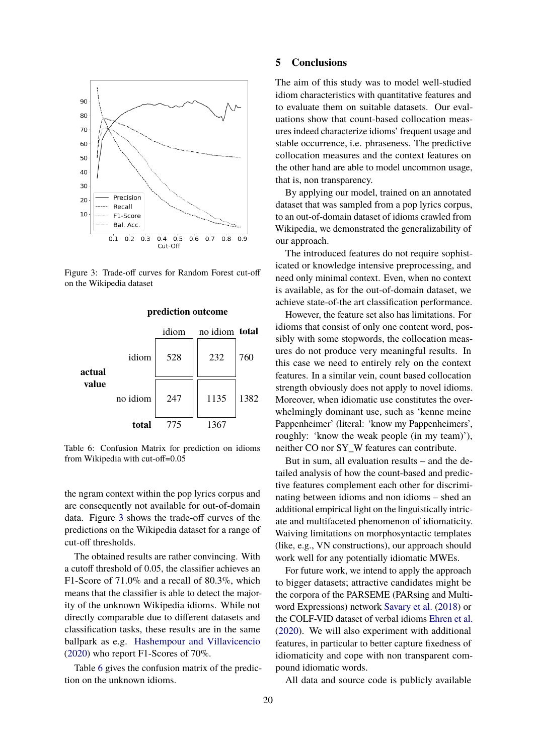<span id="page-7-0"></span>

Figure 3: Trade-off curves for Random Forest cut-off on the Wikipedia dataset

<span id="page-7-1"></span>

**prediction outcome**

Table 6: Confusion Matrix for prediction on idioms from Wikipedia with cut-off=0.05

the ngram context within the pop lyrics corpus and are consequently not available for out-of-domain data. Figure [3](#page-7-0) shows the trade-off curves of the predictions on the Wikipedia dataset for a range of cut-off thresholds.

The obtained results are rather convincing. With a cutoff threshold of 0.05, the classifier achieves an F1-Score of 71.0% and a recall of 80.3%, which means that the classifier is able to detect the majority of the unknown Wikipedia idioms. While not directly comparable due to different datasets and classification tasks, these results are in the same ballpark as e.g. [Hashempour and Villavicencio](#page-8-7) [\(2020\)](#page-8-7) who report F1-Scores of 70%.

Table [6](#page-7-1) gives the confusion matrix of the prediction on the unknown idioms.

#### **5 Conclusions**

The aim of this study was to model well-studied idiom characteristics with quantitative features and to evaluate them on suitable datasets. Our evaluations show that count-based collocation measures indeed characterize idioms' frequent usage and stable occurrence, i.e. phraseness. The predictive collocation measures and the context features on the other hand are able to model uncommon usage, that is, non transparency.

By applying our model, trained on an annotated dataset that was sampled from a pop lyrics corpus, to an out-of-domain dataset of idioms crawled from Wikipedia, we demonstrated the generalizability of our approach.

The introduced features do not require sophisticated or knowledge intensive preprocessing, and need only minimal context. Even, when no context is available, as for the out-of-domain dataset, we achieve state-of-the art classification performance.

However, the feature set also has limitations. For idioms that consist of only one content word, possibly with some stopwords, the collocation measures do not produce very meaningful results. In this case we need to entirely rely on the context features. In a similar vein, count based collocation strength obviously does not apply to novel idioms. Moreover, when idiomatic use constitutes the overwhelmingly dominant use, such as 'kenne meine Pappenheimer' (literal: 'know my Pappenheimers', roughly: 'know the weak people (in my team)'), neither CO nor SY\_W features can contribute.

But in sum, all evaluation results – and the detailed analysis of how the count-based and predictive features complement each other for discriminating between idioms and non idioms – shed an additional empirical light on the linguistically intricate and multifaceted phenomenon of idiomaticity. Waiving limitations on morphosyntactic templates (like, e.g., VN constructions), our approach should work well for any potentially idiomatic MWEs.

For future work, we intend to apply the approach to bigger datasets; attractive candidates might be the corpora of the PARSEME (PARsing and Multiword Expressions) network [Savary et al.](#page-9-16) [\(2018\)](#page-9-16) or the COLF-VID dataset of verbal idioms [Ehren et al.](#page-8-19) [\(2020\)](#page-8-19). We will also experiment with additional features, in particular to better capture fixedness of idiomaticity and cope with non transparent compound idiomatic words.

All data and source code is publicly available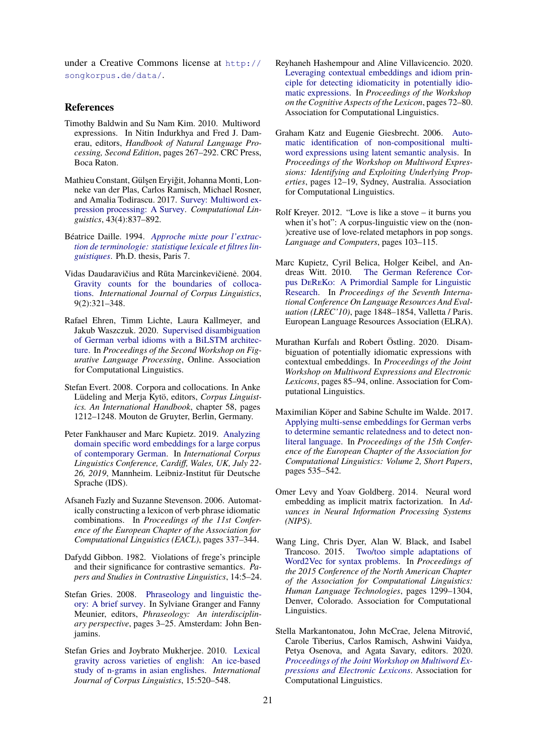under a Creative Commons license at [http://](http://songkorpus.de/data/) [songkorpus.de/data/](http://songkorpus.de/data/).

## **References**

- <span id="page-8-1"></span>Timothy Baldwin and Su Nam Kim. 2010. Multiword expressions. In Nitin Indurkhya and Fred J. Damerau, editors, *Handbook of Natural Language Processing, Second Edition*, pages 267–292. CRC Press, Boca Raton.
- <span id="page-8-3"></span>Mathieu Constant, Gülşen Eryiǧit, Johanna Monti, Lonneke van der Plas, Carlos Ramisch, Michael Rosner, and Amalia Todirascu. 2017. [Survey: Multiword ex](https://doi.org/10.1162/COLI_a_00302)[pression processing: A Survey.](https://doi.org/10.1162/COLI_a_00302) *Computational Linguistics*, 43(4):837–892.
- <span id="page-8-16"></span>Béatrice Daille. 1994. *[Approche mixte pour l'extrac](http://www.bdaille.com/index.php?option=com_docman&task=doc_download&gid=8&Itemid=)[tion de terminologie: statistique lexicale et filtres lin](http://www.bdaille.com/index.php?option=com_docman&task=doc_download&gid=8&Itemid=)[guistiques](http://www.bdaille.com/index.php?option=com_docman&task=doc_download&gid=8&Itemid=)*. Ph.D. thesis, Paris 7.
- <span id="page-8-17"></span>Vidas Daudaravičius and Rūta Marcinkevičienė. 2004. [Gravity counts for the boundaries of colloca](https://doi.org/https://doi.org/10.1075/ijcl.9.2.08dau)[tions.](https://doi.org/https://doi.org/10.1075/ijcl.9.2.08dau) *International Journal of Corpus Linguistics*, 9(2):321–348.
- <span id="page-8-19"></span>Rafael Ehren, Timm Lichte, Laura Kallmeyer, and Jakub Waszczuk. 2020. [Supervised disambiguation](https://doi.org/10.18653/v1/2020.figlang-1.29) [of German verbal idioms with a BiLSTM architec](https://doi.org/10.18653/v1/2020.figlang-1.29)[ture.](https://doi.org/10.18653/v1/2020.figlang-1.29) In *Proceedings of the Second Workshop on Figurative Language Processing*, Online. Association for Computational Linguistics.
- <span id="page-8-9"></span>Stefan Evert. 2008. Corpora and collocations. In Anke Lüdeling and Merja Kytö, editors, *Corpus Linguistics. An International Handbook*, chapter 58, pages 1212–1248. Mouton de Gruyter, Berlin, Germany.
- <span id="page-8-13"></span>Peter Fankhauser and Marc Kupietz. 2019. [Analyzing](https://doi.org/10.14618/ids-pub-9117) [domain specific word embeddings for a large corpus](https://doi.org/10.14618/ids-pub-9117) [of contemporary German.](https://doi.org/10.14618/ids-pub-9117) In *International Corpus Linguistics Conference, Cardiff, Wales, UK, July 22- 26, 2019*, Mannheim. Leibniz-Institut für Deutsche Sprache (IDS).
- <span id="page-8-5"></span>Afsaneh Fazly and Suzanne Stevenson. 2006. Automatically constructing a lexicon of verb phrase idiomatic combinations. In *Proceedings of the 11st Conference of the European Chapter of the Association for Computational Linguistics (EACL)*, pages 337–344.
- <span id="page-8-0"></span>Dafydd Gibbon. 1982. Violations of frege's principle and their significance for contrastive semantics. *Papers and Studies in Contrastive Linguistics*, 14:5–24.
- <span id="page-8-2"></span>Stefan Gries. 2008. [Phraseology and linguistic the](https://doi.org/10.1075/z.139.06gri)[ory: A brief survey.](https://doi.org/10.1075/z.139.06gri) In Sylviane Granger and Fanny Meunier, editors, *Phraseology: An interdisciplinary perspective*, pages 3–25. Amsterdam: John Benjamins.
- <span id="page-8-18"></span>Stefan Gries and Joybrato Mukherjee. 2010. [Lexical](https://doi.org/10.1075/ijcl.15.4.04gri) [gravity across varieties of english: An ice-based](https://doi.org/10.1075/ijcl.15.4.04gri) [study of n-grams in asian englishes.](https://doi.org/10.1075/ijcl.15.4.04gri) *International Journal of Corpus Linguistics*, 15:520–548.
- <span id="page-8-7"></span>Reyhaneh Hashempour and Aline Villavicencio. 2020. [Leveraging contextual embeddings and idiom prin](https://www.aclweb.org/anthology/2020.cogalex-1.9)[ciple for detecting idiomaticity in potentially idio](https://www.aclweb.org/anthology/2020.cogalex-1.9)[matic expressions.](https://www.aclweb.org/anthology/2020.cogalex-1.9) In *Proceedings of the Workshop on the Cognitive Aspects of the Lexicon*, pages 72–80. Association for Computational Linguistics.
- <span id="page-8-6"></span>Graham Katz and Eugenie Giesbrecht. 2006. [Auto](https://www.aclweb.org/anthology/W06-1203)[matic identification of non-compositional multi](https://www.aclweb.org/anthology/W06-1203)[word expressions using latent semantic analysis.](https://www.aclweb.org/anthology/W06-1203) In *Proceedings of the Workshop on Multiword Expressions: Identifying and Exploiting Underlying Properties*, pages 12–19, Sydney, Australia. Association for Computational Linguistics.
- <span id="page-8-8"></span>Rolf Kreyer. 2012. "Love is like a stove – it burns you when it's hot": A corpus-linguistic view on the (non-)creative use of love-related metaphors in pop songs. *Language and Computers*, pages 103–115.
- <span id="page-8-10"></span>Marc Kupietz, Cyril Belica, Holger Keibel, and Andreas Witt. 2010. [The German Reference Cor](https://nbn-resolving.org/urn:nbn:de:bsz:mh39-28379)pus [DeReKo: A Primordial Sample for Linguistic](https://nbn-resolving.org/urn:nbn:de:bsz:mh39-28379) [Research.](https://nbn-resolving.org/urn:nbn:de:bsz:mh39-28379) In *Proceedings of the Seventh International Conference On Language Resources And Evaluation (LREC'10)*, page 1848–1854, Valletta / Paris. European Language Resources Association (ELRA).
- <span id="page-8-15"></span>Murathan Kurfalı and Robert Östling. 2020. Disambiguation of potentially idiomatic expressions with contextual embeddings. In *Proceedings of the Joint Workshop on Multiword Expressions and Electronic Lexicons*, pages 85–94, online. Association for Computational Linguistics.
- <span id="page-8-14"></span>Maximilian Köper and Sabine Schulte im Walde. 2017. [Applying multi-sense embeddings for German verbs](https://www.aclweb.org/anthology/E17-2086.pdf) [to determine semantic relatedness and to detect non](https://www.aclweb.org/anthology/E17-2086.pdf)[literal language.](https://www.aclweb.org/anthology/E17-2086.pdf) In *Proceedings of the 15th Conference of the European Chapter of the Association for Computational Linguistics: Volume 2, Short Papers*, pages 535–542.
- <span id="page-8-12"></span>Omer Levy and Yoav Goldberg. 2014. Neural word embedding as implicit matrix factorization. In *Advances in Neural Information Processing Systems (NIPS)*.
- <span id="page-8-11"></span>Wang Ling, Chris Dyer, Alan W. Black, and Isabel Trancoso. 2015. [Two/too simple adaptations of](https://doi.org/10.3115/v1/N15-1142) [Word2Vec for syntax problems.](https://doi.org/10.3115/v1/N15-1142) In *Proceedings of the 2015 Conference of the North American Chapter of the Association for Computational Linguistics: Human Language Technologies*, pages 1299–1304, Denver, Colorado. Association for Computational Linguistics.
- <span id="page-8-4"></span>Stella Markantonatou, John McCrae, Jelena Mitrović, Carole Tiberius, Carlos Ramisch, Ashwini Vaidya, Petya Osenova, and Agata Savary, editors. 2020. *[Proceedings of the Joint Workshop on Multiword Ex](https://www.aclweb.org/anthology/2020.mwe-1.0)[pressions and Electronic Lexicons](https://www.aclweb.org/anthology/2020.mwe-1.0)*. Association for Computational Linguistics.